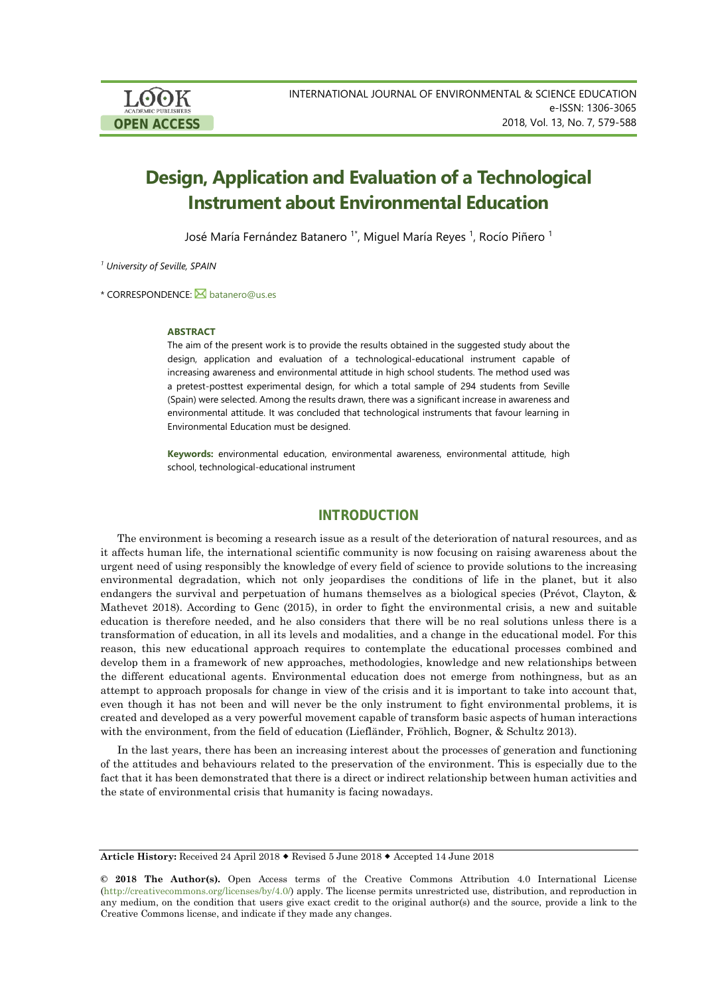# **Design, Application and Evaluation of a Technological Instrument about Environmental Education**

José María Fernández Batanero <sup>1\*</sup>, Miguel María Reyes <sup>1</sup>, Rocío Piñero <sup>1</sup>

*<sup>1</sup> University of Seville, SPAIN*

\* CORRESPONDENCE: **[batanero@us.es](mailto:batanero@us.es)** 

#### **ABSTRACT**

The aim of the present work is to provide the results obtained in the suggested study about the design, application and evaluation of a technological-educational instrument capable of increasing awareness and environmental attitude in high school students. The method used was a pretest-posttest experimental design, for which a total sample of 294 students from Seville (Spain) were selected. Among the results drawn, there was a significant increase in awareness and environmental attitude. It was concluded that technological instruments that favour learning in Environmental Education must be designed.

**Keywords:** environmental education, environmental awareness, environmental attitude, high school, technological-educational instrument

# **INTRODUCTION**

The environment is becoming a research issue as a result of the deterioration of natural resources, and as it affects human life, the international scientific community is now focusing on raising awareness about the urgent need of using responsibly the knowledge of every field of science to provide solutions to the increasing environmental degradation, which not only jeopardises the conditions of life in the planet, but it also endangers the survival and perpetuation of humans themselves as a biological species (Prévot, Clayton, & Mathevet 2018). According to Genc (2015), in order to fight the environmental crisis, a new and suitable education is therefore needed, and he also considers that there will be no real solutions unless there is a transformation of education, in all its levels and modalities, and a change in the educational model. For this reason, this new educational approach requires to contemplate the educational processes combined and develop them in a framework of new approaches, methodologies, knowledge and new relationships between the different educational agents. Environmental education does not emerge from nothingness, but as an attempt to approach proposals for change in view of the crisis and it is important to take into account that, even though it has not been and will never be the only instrument to fight environmental problems, it is created and developed as a very powerful movement capable of transform basic aspects of human interactions with the environment, from the field of education (Liefländer, Fröhlich, Bogner, & Schultz 2013).

In the last years, there has been an increasing interest about the processes of generation and functioning of the attitudes and behaviours related to the preservation of the environment. This is especially due to the fact that it has been demonstrated that there is a direct or indirect relationship between human activities and the state of environmental crisis that humanity is facing nowadays.

**Article History:** Received 24 April 2018 Revised 5 June 2018 Accepted 14 June 2018

**<sup>© 2018</sup> The Author(s).** Open Access terms of the Creative Commons Attribution 4.0 International License [\(http://creativecommons.org/licenses/by/4.0/\)](http://creativecommons.org/licenses/by/4.0/) apply. The license permits unrestricted use, distribution, and reproduction in any medium, on the condition that users give exact credit to the original author(s) and the source, provide a link to the Creative Commons license, and indicate if they made any changes.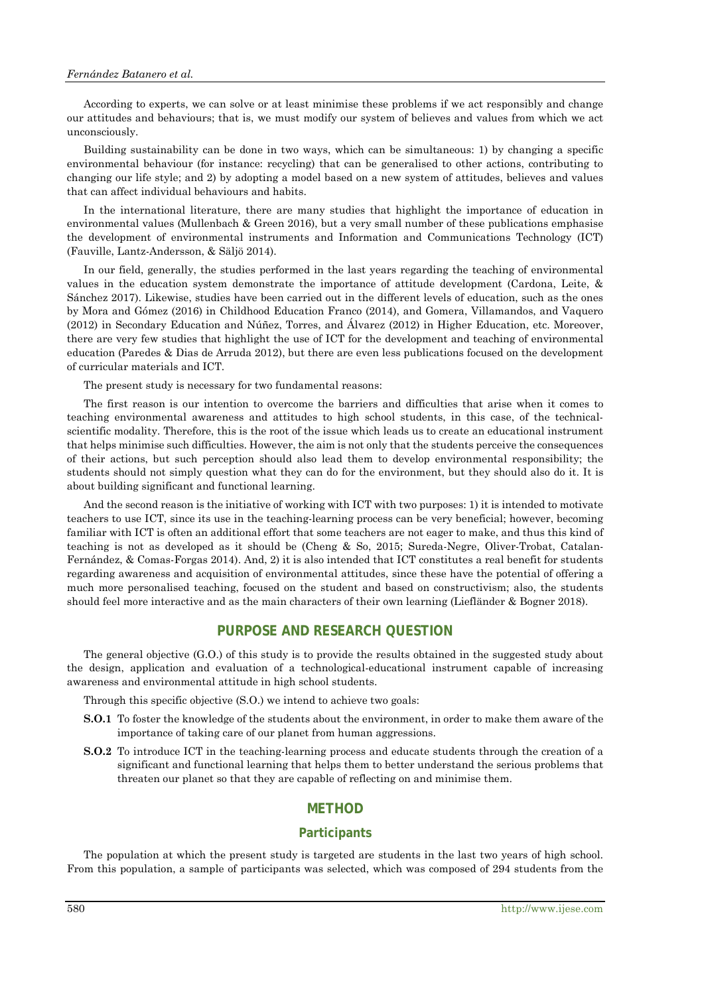#### *Fernández Batanero et al.*

According to experts, we can solve or at least minimise these problems if we act responsibly and change our attitudes and behaviours; that is, we must modify our system of believes and values from which we act unconsciously.

Building sustainability can be done in two ways, which can be simultaneous: 1) by changing a specific environmental behaviour (for instance: recycling) that can be generalised to other actions, contributing to changing our life style; and 2) by adopting a model based on a new system of attitudes, believes and values that can affect individual behaviours and habits.

In the international literature, there are many studies that highlight the importance of education in environmental values (Mullenbach & Green 2016), but a very small number of these publications emphasise the development of environmental instruments and Information and Communications Technology (ICT) (Fauville, Lantz-Andersson, & Säljö 2014).

In our field, generally, the studies performed in the last years regarding the teaching of environmental values in the education system demonstrate the importance of attitude development (Cardona, Leite, & Sánchez 2017). Likewise, studies have been carried out in the different levels of education, such as the ones by Mora and Gómez (2016) in Childhood Education Franco (2014), and Gomera, Villamandos, and Vaquero (2012) in Secondary Education and Núñez, Torres, and Álvarez (2012) in Higher Education, etc. Moreover, there are very few studies that highlight the use of ICT for the development and teaching of environmental education (Paredes & Dias de Arruda 2012), but there are even less publications focused on the development of curricular materials and ICT.

The present study is necessary for two fundamental reasons:

The first reason is our intention to overcome the barriers and difficulties that arise when it comes to teaching environmental awareness and attitudes to high school students, in this case, of the technicalscientific modality. Therefore, this is the root of the issue which leads us to create an educational instrument that helps minimise such difficulties. However, the aim is not only that the students perceive the consequences of their actions, but such perception should also lead them to develop environmental responsibility; the students should not simply question what they can do for the environment, but they should also do it. It is about building significant and functional learning.

And the second reason is the initiative of working with ICT with two purposes: 1) it is intended to motivate teachers to use ICT, since its use in the teaching-learning process can be very beneficial; however, becoming familiar with ICT is often an additional effort that some teachers are not eager to make, and thus this kind of teaching is not as developed as it should be (Cheng & So, 2015; Sureda-Negre, Oliver-Trobat, Catalan-Fernández, & Comas-Forgas 2014). And, 2) it is also intended that ICT constitutes a real benefit for students regarding awareness and acquisition of environmental attitudes, since these have the potential of offering a much more personalised teaching, focused on the student and based on constructivism; also, the students should feel more interactive and as the main characters of their own learning (Liefländer & Bogner 2018).

#### **PURPOSE AND RESEARCH QUESTION**

The general objective (G.O.) of this study is to provide the results obtained in the suggested study about the design, application and evaluation of a technological-educational instrument capable of increasing awareness and environmental attitude in high school students.

Through this specific objective (S.O.) we intend to achieve two goals:

- **S.O.1** To foster the knowledge of the students about the environment, in order to make them aware of the importance of taking care of our planet from human aggressions.
- **S.O.2** To introduce ICT in the teaching-learning process and educate students through the creation of a significant and functional learning that helps them to better understand the serious problems that threaten our planet so that they are capable of reflecting on and minimise them.

# **METHOD**

## **Participants**

The population at which the present study is targeted are students in the last two years of high school. From this population, a sample of participants was selected, which was composed of 294 students from the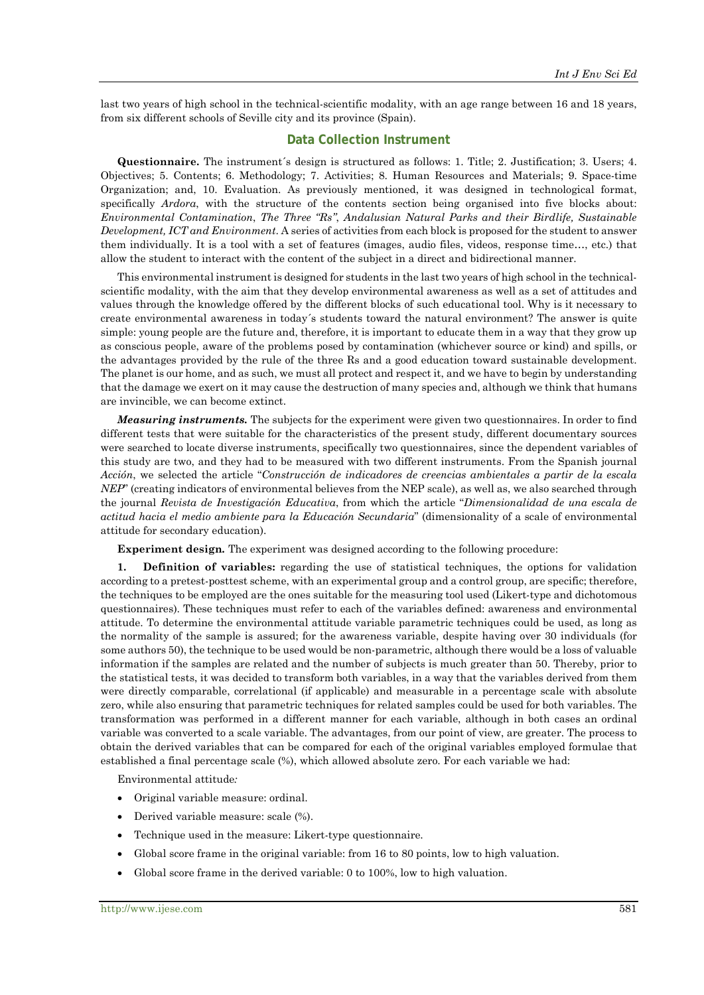last two years of high school in the technical-scientific modality, with an age range between 16 and 18 years, from six different schools of Seville city and its province (Spain).

#### **Data Collection Instrument**

**Questionnaire.** The instrument´s design is structured as follows: 1. Title; 2. Justification; 3. Users; 4. Objectives; 5. Contents; 6. Methodology; 7. Activities; 8. Human Resources and Materials; 9. Space-time Organization; and, 10. Evaluation. As previously mentioned, it was designed in technological format, specifically *Ardora*, with the structure of the contents section being organised into five blocks about: *Environmental Contamination*, *The Three "Rs"*, *Andalusian Natural Parks and their Birdlife, Sustainable Development, ICT and Environment*. A series of activities from each block is proposed for the student to answer them individually. It is a tool with a set of features (images, audio files, videos, response time…, etc.) that allow the student to interact with the content of the subject in a direct and bidirectional manner.

This environmental instrument is designed for students in the last two years of high school in the technicalscientific modality, with the aim that they develop environmental awareness as well as a set of attitudes and values through the knowledge offered by the different blocks of such educational tool. Why is it necessary to create environmental awareness in today´s students toward the natural environment? The answer is quite simple: young people are the future and, therefore, it is important to educate them in a way that they grow up as conscious people, aware of the problems posed by contamination (whichever source or kind) and spills, or the advantages provided by the rule of the three Rs and a good education toward sustainable development. The planet is our home, and as such, we must all protect and respect it, and we have to begin by understanding that the damage we exert on it may cause the destruction of many species and, although we think that humans are invincible, we can become extinct.

*Measuring instruments.* The subjects for the experiment were given two questionnaires. In order to find different tests that were suitable for the characteristics of the present study, different documentary sources were searched to locate diverse instruments, specifically two questionnaires, since the dependent variables of this study are two, and they had to be measured with two different instruments. From the Spanish journal *Acción*, we selected the article "*Construcción de indicadores de creencias ambientales a partir de la escala NEP*" (creating indicators of environmental believes from the NEP scale), as well as, we also searched through the journal *Revista de Investigación Educativa*, from which the article "*Dimensionalidad de una escala de actitud hacia el medio ambiente para la Educación Secundaria*" (dimensionality of a scale of environmental attitude for secondary education).

**Experiment design***.* The experiment was designed according to the following procedure:

**1. Definition of variables:** regarding the use of statistical techniques, the options for validation according to a pretest-posttest scheme, with an experimental group and a control group, are specific; therefore, the techniques to be employed are the ones suitable for the measuring tool used (Likert-type and dichotomous questionnaires). These techniques must refer to each of the variables defined: awareness and environmental attitude. To determine the environmental attitude variable parametric techniques could be used, as long as the normality of the sample is assured; for the awareness variable, despite having over 30 individuals (for some authors 50), the technique to be used would be non-parametric, although there would be a loss of valuable information if the samples are related and the number of subjects is much greater than 50. Thereby, prior to the statistical tests, it was decided to transform both variables, in a way that the variables derived from them were directly comparable, correlational (if applicable) and measurable in a percentage scale with absolute zero, while also ensuring that parametric techniques for related samples could be used for both variables. The transformation was performed in a different manner for each variable, although in both cases an ordinal variable was converted to a scale variable. The advantages, from our point of view, are greater. The process to obtain the derived variables that can be compared for each of the original variables employed formulae that established a final percentage scale (%), which allowed absolute zero. For each variable we had:

Environmental attitude*:* 

- Original variable measure: ordinal.
- Derived variable measure: scale (%).
- Technique used in the measure: Likert-type questionnaire.
- Global score frame in the original variable: from 16 to 80 points, low to high valuation.
- Global score frame in the derived variable: 0 to 100%, low to high valuation.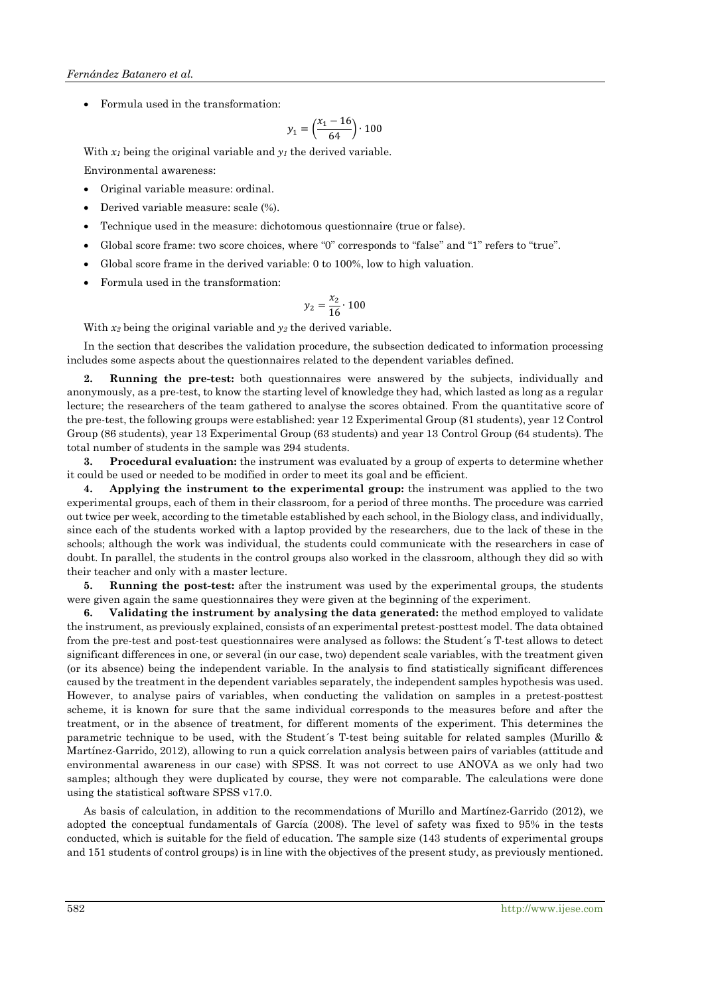• Formula used in the transformation:

$$
y_1 = \left(\frac{x_1 - 16}{64}\right) \cdot 100
$$

With  $x_1$  being the original variable and  $y_1$  the derived variable.

Environmental awareness:

- Original variable measure: ordinal.
- Derived variable measure: scale (%).
- Technique used in the measure: dichotomous questionnaire (true or false).
- Global score frame: two score choices, where "0" corresponds to "false" and "1" refers to "true".
- Global score frame in the derived variable: 0 to 100%, low to high valuation.
- Formula used in the transformation:

$$
y_2 = \frac{x_2}{16} \cdot 100
$$

With  $x_2$  being the original variable and  $y_2$  the derived variable.

In the section that describes the validation procedure, the subsection dedicated to information processing includes some aspects about the questionnaires related to the dependent variables defined.

**2. Running the pre-test:** both questionnaires were answered by the subjects, individually and anonymously, as a pre-test, to know the starting level of knowledge they had, which lasted as long as a regular lecture; the researchers of the team gathered to analyse the scores obtained. From the quantitative score of the pre-test, the following groups were established: year 12 Experimental Group (81 students), year 12 Control Group (86 students), year 13 Experimental Group (63 students) and year 13 Control Group (64 students). The total number of students in the sample was 294 students.

**3. Procedural evaluation:** the instrument was evaluated by a group of experts to determine whether it could be used or needed to be modified in order to meet its goal and be efficient.

**4. Applying the instrument to the experimental group:** the instrument was applied to the two experimental groups, each of them in their classroom, for a period of three months. The procedure was carried out twice per week, according to the timetable established by each school, in the Biology class, and individually, since each of the students worked with a laptop provided by the researchers, due to the lack of these in the schools; although the work was individual, the students could communicate with the researchers in case of doubt. In parallel, the students in the control groups also worked in the classroom, although they did so with their teacher and only with a master lecture.

**5. Running the post-test:** after the instrument was used by the experimental groups, the students were given again the same questionnaires they were given at the beginning of the experiment.

**6. Validating the instrument by analysing the data generated:** the method employed to validate the instrument, as previously explained, consists of an experimental pretest-posttest model. The data obtained from the pre-test and post-test questionnaires were analysed as follows: the Student´s T-test allows to detect significant differences in one, or several (in our case, two) dependent scale variables, with the treatment given (or its absence) being the independent variable. In the analysis to find statistically significant differences caused by the treatment in the dependent variables separately, the independent samples hypothesis was used. However, to analyse pairs of variables, when conducting the validation on samples in a pretest-posttest scheme, it is known for sure that the same individual corresponds to the measures before and after the treatment, or in the absence of treatment, for different moments of the experiment. This determines the parametric technique to be used, with the Student´s T-test being suitable for related samples (Murillo & Martínez-Garrido, 2012), allowing to run a quick correlation analysis between pairs of variables (attitude and environmental awareness in our case) with SPSS. It was not correct to use ANOVA as we only had two samples; although they were duplicated by course, they were not comparable. The calculations were done using the statistical software SPSS v17.0.

As basis of calculation, in addition to the recommendations of Murillo and Martínez-Garrido (2012), we adopted the conceptual fundamentals of García (2008). The level of safety was fixed to 95% in the tests conducted, which is suitable for the field of education. The sample size (143 students of experimental groups and 151 students of control groups) is in line with the objectives of the present study, as previously mentioned.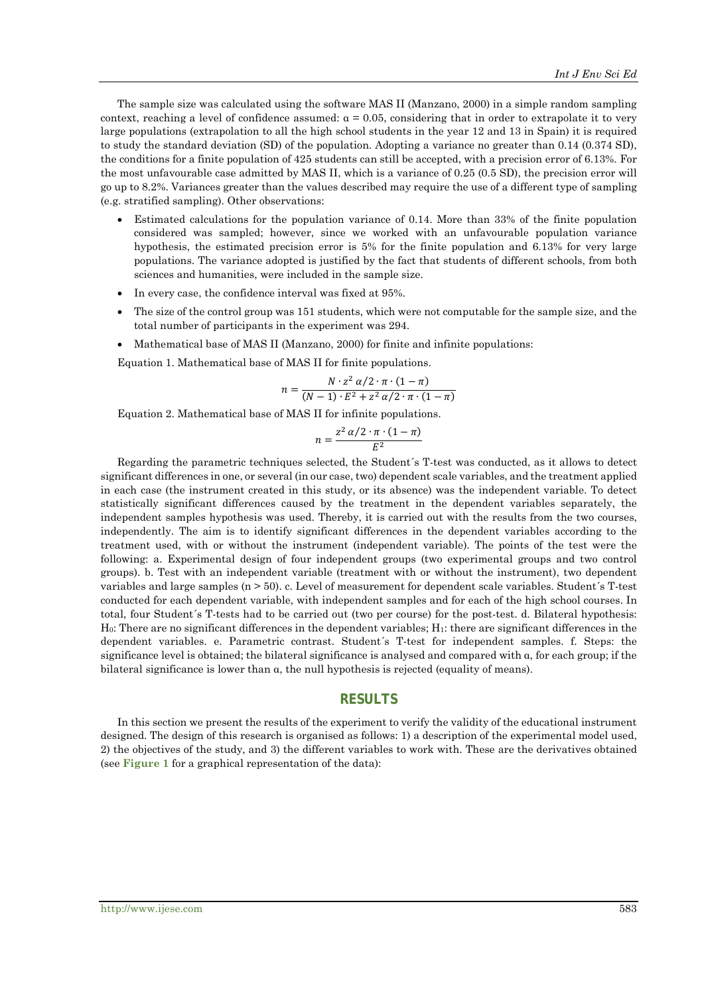The sample size was calculated using the software MAS II (Manzano, 2000) in a simple random sampling context, reaching a level of confidence assumed:  $\alpha = 0.05$ , considering that in order to extrapolate it to very large populations (extrapolation to all the high school students in the year 12 and 13 in Spain) it is required to study the standard deviation (SD) of the population. Adopting a variance no greater than 0.14 (0.374 SD), the conditions for a finite population of 425 students can still be accepted, with a precision error of 6.13%. For the most unfavourable case admitted by MAS II, which is a variance of 0.25 (0.5 SD), the precision error will go up to 8.2%. Variances greater than the values described may require the use of a different type of sampling (e.g. stratified sampling). Other observations:

- Estimated calculations for the population variance of 0.14. More than 33% of the finite population considered was sampled; however, since we worked with an unfavourable population variance hypothesis, the estimated precision error is 5% for the finite population and 6.13% for very large populations. The variance adopted is justified by the fact that students of different schools, from both sciences and humanities, were included in the sample size.
- In every case, the confidence interval was fixed at 95%.
- The size of the control group was 151 students, which were not computable for the sample size, and the total number of participants in the experiment was 294.
- Mathematical base of MAS II (Manzano, 2000) for finite and infinite populations:

Equation 1. Mathematical base of MAS II for finite populations.

$$
n = \frac{N \cdot z^2 \alpha/2 \cdot \pi \cdot (1 - \pi)}{(N - 1) \cdot E^2 + z^2 \alpha/2 \cdot \pi \cdot (1 - \pi)}
$$

Equation 2. Mathematical base of MAS II for infinite populations.

$$
n = \frac{z^2 \alpha/2 \cdot \pi \cdot (1 - \pi)}{E^2}
$$

Regarding the parametric techniques selected, the Student´s T-test was conducted, as it allows to detect significant differences in one, or several (in our case, two) dependent scale variables, and the treatment applied in each case (the instrument created in this study, or its absence) was the independent variable. To detect statistically significant differences caused by the treatment in the dependent variables separately, the independent samples hypothesis was used. Thereby, it is carried out with the results from the two courses, independently. The aim is to identify significant differences in the dependent variables according to the treatment used, with or without the instrument (independent variable). The points of the test were the following: a. Experimental design of four independent groups (two experimental groups and two control groups). b. Test with an independent variable (treatment with or without the instrument), two dependent variables and large samples (n > 50). c. Level of measurement for dependent scale variables. Student´s T-test conducted for each dependent variable, with independent samples and for each of the high school courses. In total, four Student´s T-tests had to be carried out (two per course) for the post-test. d. Bilateral hypothesis: H0: There are no significant differences in the dependent variables; H1: there are significant differences in the dependent variables. e. Parametric contrast. Student´s T-test for independent samples. f. Steps: the significance level is obtained; the bilateral significance is analysed and compared with α, for each group; if the bilateral significance is lower than α, the null hypothesis is rejected (equality of means).

# **RESULTS**

In this section we present the results of the experiment to verify the validity of the educational instrument designed. The design of this research is organised as follows: 1) a description of the experimental model used, 2) the objectives of the study, and 3) the different variables to work with. These are the derivatives obtained (see **Figure 1** for a graphical representation of the data):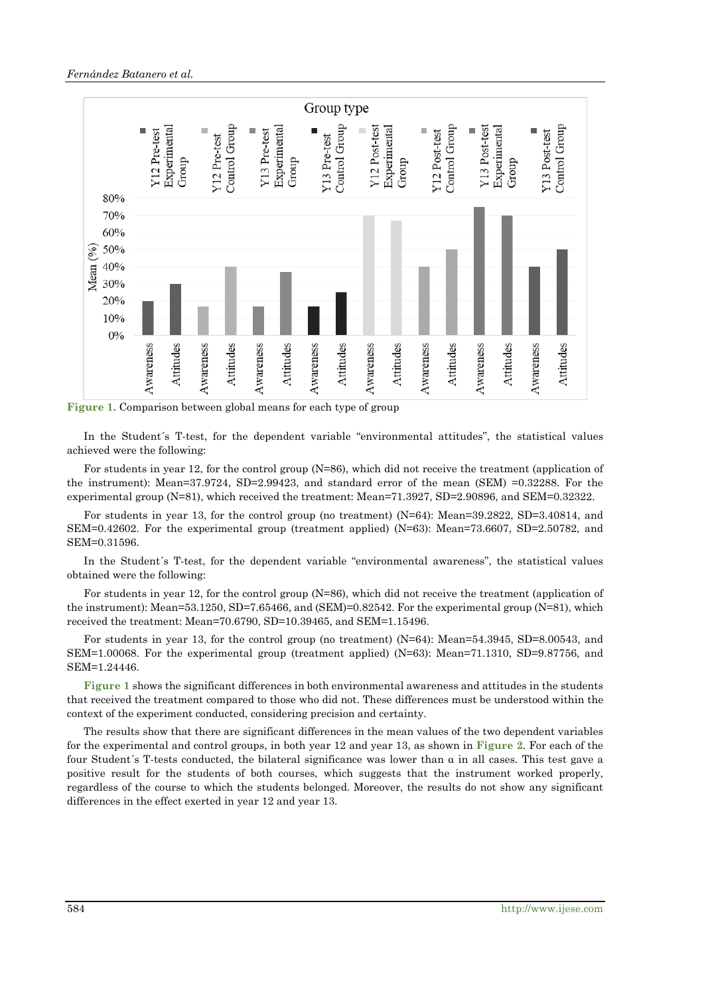

**Figure 1.** Comparison between global means for each type of group

In the Student´s T-test, for the dependent variable "environmental attitudes", the statistical values achieved were the following:

For students in year 12, for the control group (N=86), which did not receive the treatment (application of the instrument): Mean=37.9724, SD=2.99423, and standard error of the mean (SEM) =0.32288. For the experimental group (N=81), which received the treatment: Mean=71.3927, SD=2.90896, and SEM=0.32322.

For students in year 13, for the control group (no treatment) (N=64): Mean=39.2822, SD=3.40814, and SEM=0.42602. For the experimental group (treatment applied) (N=63): Mean=73.6607, SD=2.50782, and SEM=0.31596.

In the Student´s T-test, for the dependent variable "environmental awareness", the statistical values obtained were the following:

For students in year 12, for the control group (N=86), which did not receive the treatment (application of the instrument): Mean=53.1250, SD=7.65466, and (SEM)=0.82542. For the experimental group (N=81), which received the treatment: Mean=70.6790, SD=10.39465, and SEM=1.15496.

For students in year 13, for the control group (no treatment) (N=64): Mean=54.3945, SD=8.00543, and SEM=1.00068. For the experimental group (treatment applied) (N=63): Mean=71.1310, SD=9.87756, and SEM=1.24446.

**Figure 1** shows the significant differences in both environmental awareness and attitudes in the students that received the treatment compared to those who did not. These differences must be understood within the context of the experiment conducted, considering precision and certainty.

The results show that there are significant differences in the mean values of the two dependent variables for the experimental and control groups, in both year 12 and year 13, as shown in **Figure 2**. For each of the four Student´s T-tests conducted, the bilateral significance was lower than α in all cases. This test gave a positive result for the students of both courses, which suggests that the instrument worked properly, regardless of the course to which the students belonged. Moreover, the results do not show any significant differences in the effect exerted in year 12 and year 13.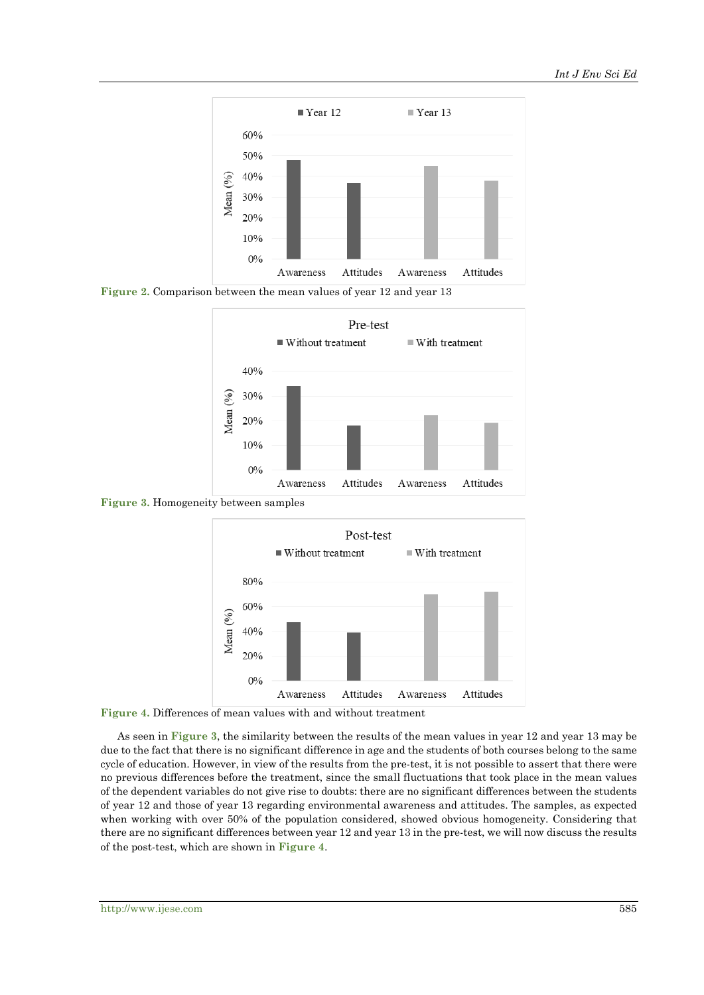

**Figure 2.** Comparison between the mean values of year 12 and year 13



**Figure 3.** Homogeneity between samples



**Figure 4.** Differences of mean values with and without treatment

As seen in **Figure 3**, the similarity between the results of the mean values in year 12 and year 13 may be due to the fact that there is no significant difference in age and the students of both courses belong to the same cycle of education. However, in view of the results from the pre-test, it is not possible to assert that there were no previous differences before the treatment, since the small fluctuations that took place in the mean values of the dependent variables do not give rise to doubts: there are no significant differences between the students of year 12 and those of year 13 regarding environmental awareness and attitudes. The samples, as expected when working with over 50% of the population considered, showed obvious homogeneity. Considering that there are no significant differences between year 12 and year 13 in the pre-test, we will now discuss the results of the post-test, which are shown in **Figure 4**.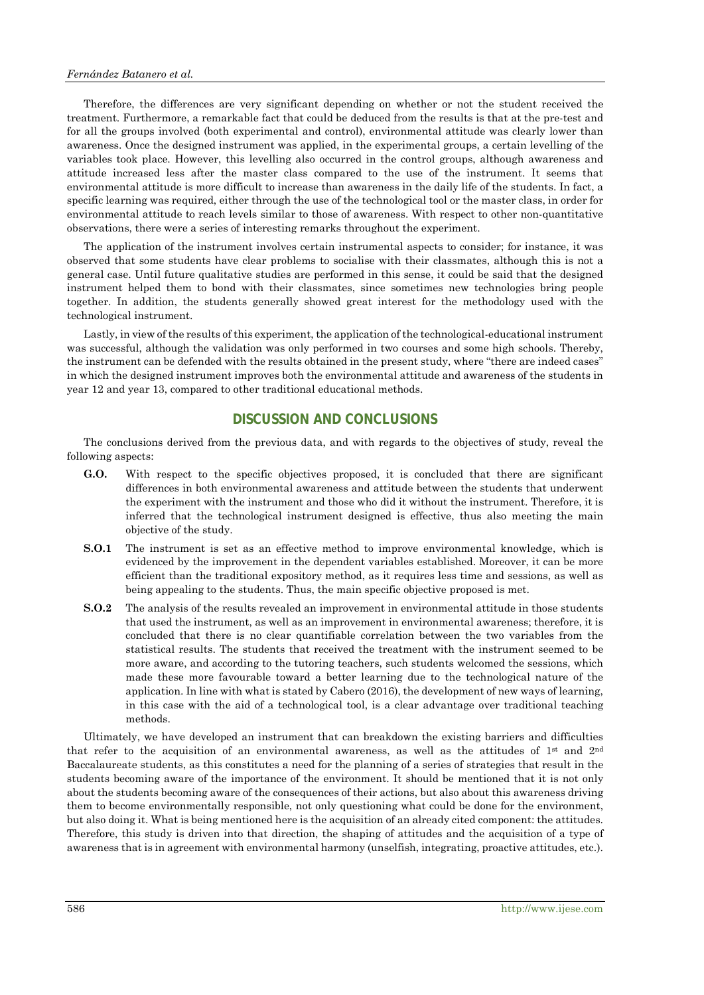Therefore, the differences are very significant depending on whether or not the student received the treatment. Furthermore, a remarkable fact that could be deduced from the results is that at the pre-test and for all the groups involved (both experimental and control), environmental attitude was clearly lower than awareness. Once the designed instrument was applied, in the experimental groups, a certain levelling of the variables took place. However, this levelling also occurred in the control groups, although awareness and attitude increased less after the master class compared to the use of the instrument. It seems that environmental attitude is more difficult to increase than awareness in the daily life of the students. In fact, a specific learning was required, either through the use of the technological tool or the master class, in order for environmental attitude to reach levels similar to those of awareness. With respect to other non-quantitative observations, there were a series of interesting remarks throughout the experiment.

The application of the instrument involves certain instrumental aspects to consider; for instance, it was observed that some students have clear problems to socialise with their classmates, although this is not a general case. Until future qualitative studies are performed in this sense, it could be said that the designed instrument helped them to bond with their classmates, since sometimes new technologies bring people together. In addition, the students generally showed great interest for the methodology used with the technological instrument.

Lastly, in view of the results of this experiment, the application of the technological-educational instrument was successful, although the validation was only performed in two courses and some high schools. Thereby, the instrument can be defended with the results obtained in the present study, where "there are indeed cases" in which the designed instrument improves both the environmental attitude and awareness of the students in year 12 and year 13, compared to other traditional educational methods.

#### **DISCUSSION AND CONCLUSIONS**

The conclusions derived from the previous data, and with regards to the objectives of study, reveal the following aspects:

- **G.O.** With respect to the specific objectives proposed, it is concluded that there are significant differences in both environmental awareness and attitude between the students that underwent the experiment with the instrument and those who did it without the instrument. Therefore, it is inferred that the technological instrument designed is effective, thus also meeting the main objective of the study.
- **S.O.1** The instrument is set as an effective method to improve environmental knowledge, which is evidenced by the improvement in the dependent variables established. Moreover, it can be more efficient than the traditional expository method, as it requires less time and sessions, as well as being appealing to the students. Thus, the main specific objective proposed is met.
- **S.O.2** The analysis of the results revealed an improvement in environmental attitude in those students that used the instrument, as well as an improvement in environmental awareness; therefore, it is concluded that there is no clear quantifiable correlation between the two variables from the statistical results. The students that received the treatment with the instrument seemed to be more aware, and according to the tutoring teachers, such students welcomed the sessions, which made these more favourable toward a better learning due to the technological nature of the application. In line with what is stated by Cabero (2016), the development of new ways of learning, in this case with the aid of a technological tool, is a clear advantage over traditional teaching methods.

Ultimately, we have developed an instrument that can breakdown the existing barriers and difficulties that refer to the acquisition of an environmental awareness, as well as the attitudes of  $1<sup>st</sup>$  and  $2<sup>nd</sup>$ Baccalaureate students, as this constitutes a need for the planning of a series of strategies that result in the students becoming aware of the importance of the environment. It should be mentioned that it is not only about the students becoming aware of the consequences of their actions, but also about this awareness driving them to become environmentally responsible, not only questioning what could be done for the environment, but also doing it. What is being mentioned here is the acquisition of an already cited component: the attitudes. Therefore, this study is driven into that direction, the shaping of attitudes and the acquisition of a type of awareness that is in agreement with environmental harmony (unselfish, integrating, proactive attitudes, etc.).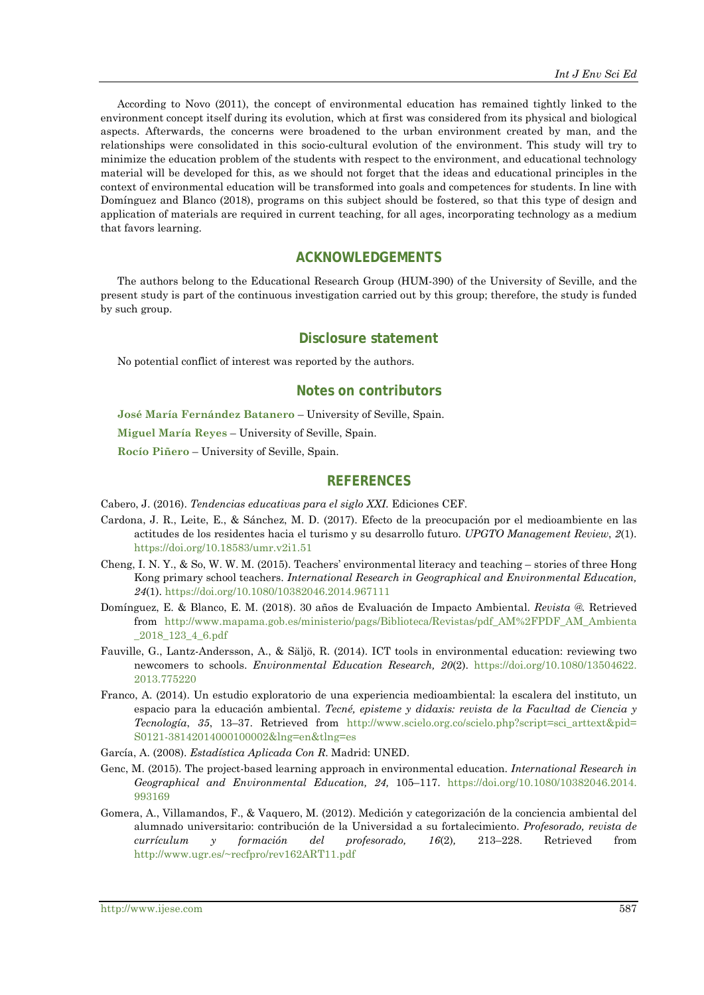According to Novo (2011), the concept of environmental education has remained tightly linked to the environment concept itself during its evolution, which at first was considered from its physical and biological aspects. Afterwards, the concerns were broadened to the urban environment created by man, and the relationships were consolidated in this socio-cultural evolution of the environment. This study will try to minimize the education problem of the students with respect to the environment, and educational technology material will be developed for this, as we should not forget that the ideas and educational principles in the context of environmental education will be transformed into goals and competences for students. In line with Domínguez and Blanco (2018), programs on this subject should be fostered, so that this type of design and application of materials are required in current teaching, for all ages, incorporating technology as a medium that favors learning.

### **ACKNOWLEDGEMENTS**

The authors belong to the Educational Research Group (HUM-390) of the University of Seville, and the present study is part of the continuous investigation carried out by this group; therefore, the study is funded by such group.

#### **Disclosure statement**

No potential conflict of interest was reported by the authors.

#### **Notes on contributors**

**José María Fernández Batanero** – University of Seville, Spain.

**Miguel María Reyes** – University of Seville, Spain.

**Rocío Piñero** – University of Seville, Spain.

### **REFERENCES**

Cabero, J. (2016). *Tendencias educativas para el siglo XXI.* Ediciones CEF.

- Cardona, J. R., Leite, E., & Sánchez, M. D. (2017). Efecto de la preocupación por el medioambiente en las actitudes de los residentes hacia el turismo y su desarrollo futuro. *UPGTO Management Review*, *2*(1). <https://doi.org/10.18583/umr.v2i1.51>
- Cheng, I. N. Y., & So, W. W. M. (2015). Teachers' environmental literacy and teaching stories of three Hong Kong primary school teachers. *International Research in Geographical and Environmental Education, 24*(1)[. https://doi.org/10.1080/10382046.2014.967111](https://doi.org/10.1080/10382046.2014.967111)
- Domínguez, E. & Blanco, E. M. (2018). 30 años de Evaluación de Impacto Ambiental. *Revista @.* Retrieved from [http://www.mapama.gob.es/ministerio/pags/Biblioteca/Revistas/pdf\\_AM%2FPDF\\_AM\\_Ambienta](http://www.mapama.gob.es/ministerio/pags/Biblioteca/Revistas/pdf_AM%2FPDF_AM_Ambienta_2018_123_4_6.pdf) [\\_2018\\_123\\_4\\_6.pdf](http://www.mapama.gob.es/ministerio/pags/Biblioteca/Revistas/pdf_AM%2FPDF_AM_Ambienta_2018_123_4_6.pdf)
- Fauville, G., Lantz-Andersson, A., & Säljö, R. (2014). ICT tools in environmental education: reviewing two newcomers to schools. *Environmental Education Research, 20*(2). [https://doi.org/10.1080/13504622.](https://doi.org/10.1080/13504622.2013.775220) [2013.775220](https://doi.org/10.1080/13504622.2013.775220)
- Franco, A. (2014). Un estudio exploratorio de una experiencia medioambiental: la escalera del instituto, un espacio para la educación ambiental. *Tecné, episteme y didaxis: revista de la Facultad de Ciencia y Tecnología*, *35*, 13–37. Retrieved from [http://www.scielo.org.co/scielo.php?script=sci\\_arttext&pid=](http://www.scielo.org.co/scielo.php?script=sci_arttext&pid=S0121-38142014000100002&lng=en&tlng=es) S0121-[38142014000100002&lng=en&tlng=es](http://www.scielo.org.co/scielo.php?script=sci_arttext&pid=S0121-38142014000100002&lng=en&tlng=es)

García, A. (2008). *Estadística Aplicada Con R*. Madrid: UNED.

- Genc, M. (2015). The project-based learning approach in environmental education. *International Research in Geographical and Environmental Education, 24,* 105–117. [https://doi.org/10.1080/10382046.2014.](https://doi.org/10.1080/10382046.2014.993169) [993169](https://doi.org/10.1080/10382046.2014.993169)
- Gomera, A., Villamandos, F., & Vaquero, M. (2012). Medición y categorización de la conciencia ambiental del alumnado universitario: contribución de la Universidad a su fortalecimiento. *Profesorado, revista de currículum y formación del profesorado, 16*(2)*,* 213–228. Retrieved from [http://www.ugr.es/~recfpro/rev162ART11.pdf](http://www.ugr.es/%7Erecfpro/rev162ART11.pdf)